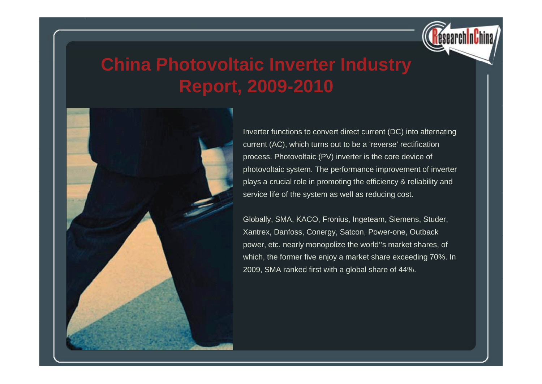

## **China Photovoltaic Inverter Industry Report, 2009-2010**



Inverter functions to convert direct current (DC) into alternating current (AC), which turns out to be a 'reverse' rectification process. Photovoltaic (PV) inverter is the core device of photovoltaic system. The performance improvement of inverter plays a crucial role in promoting the efficiency & reliability and service life of the system as well as reducing cost.

Globally, SMA, KACO, Fronius, Ingeteam, Siemens, Studer, Xantrex, Danfoss, Conergy, Satcon, Power-one, Outback power, etc. nearly monopolize the world''s market shares, of which, the former five enjoy a market share exceeding 70%. In 2009, SMA ranked first with a global share of 44%.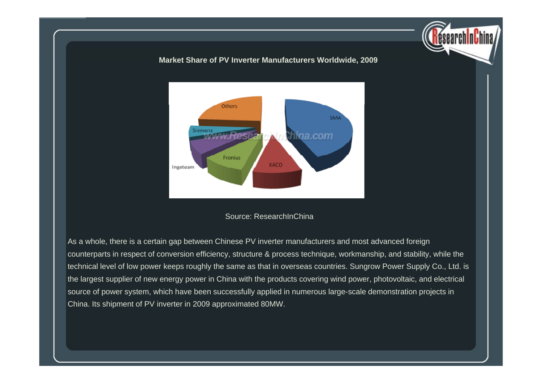#### **Market Share of PV Inverter Manufacturers Worldwide 2009 Worldwide, 2009**



#### Source: ResearchInChina

As a whole, there is a certain gap between Chinese PV inverter manufacturers and most advanced foreign counterparts in respect of conversion efficiency, structure & process technique, workmanship, and stability, while the technical level of low power keeps roughly the same as that in overseas countries. Sungrow Power Supply Co., Ltd. is the largest supplier of new energy power in China with the products covering wind power, photovoltaic, and electrical source of power system, which have been successfully applied in numerous large-scale demonstration projects in China. Its shipment of PV inverter in 2009 approximated 80MW.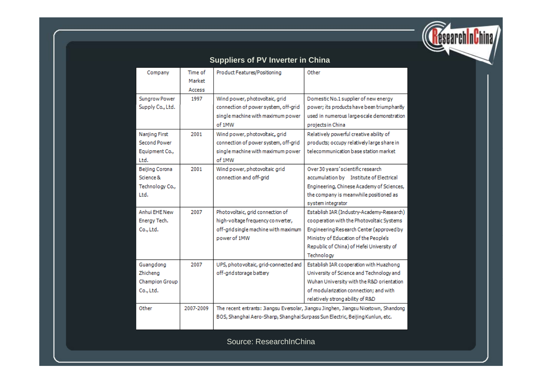

|  | <b>Suppliers of PV Inverter in China</b> |  |
|--|------------------------------------------|--|
|  |                                          |  |

| Company                                                        | Time of<br>Market<br>Access | Product Features/Positioning                                                                                                                                         | Other                                                                                                                                                                                                                                  |
|----------------------------------------------------------------|-----------------------------|----------------------------------------------------------------------------------------------------------------------------------------------------------------------|----------------------------------------------------------------------------------------------------------------------------------------------------------------------------------------------------------------------------------------|
| Sungrow Power<br>Supply Co., Ltd.                              | 1997                        | Wind power, photovoltaic, grid<br>connection of power system, off-grid<br>single machine with maximum power<br>of 1MW                                                | Domestic No.1 supplier of new energy<br>power; its products have been triumphantly<br>used in numerous large-scale demonstration<br>projects in China                                                                                  |
| Nanjing First<br><b>Second Power</b><br>Equipment Co.,<br>Ltd. | 2001                        | Wind power, photovoltaic, grid<br>connection of power system, off-grid<br>single machine with maximum power<br>of 1MW                                                | Relatively powerful creative ability of<br>products; occupy relatively large share in<br>telecommunication base station market                                                                                                         |
| Beijing Corona<br>Science &<br>Technology Co.,<br>Ltd.         | 2001                        | Wind power, photovoltaic grid<br>connection and off-grid                                                                                                             | Over 30 years' scientific research<br>accumulation by Institute of Electrical<br>Engineering, Chinese Academy of Sciences,<br>the company is meanwhile positioned as<br>system integrator                                              |
| Anhui EHE New<br>Energy Tech.<br>Co., Ltd.                     | 2007                        | Photovoltaic, grid connection of<br>high-voltage frequency converter,<br>off-grid single machine with maximum<br>power of 1MW                                        | Establish IAR (Industry-Academy-Research)<br>cooperation with the Photovoltaic Systems<br>Engineering Research Center (approved by<br>Ministry of Education of the People's<br>Republic of China) of Hefei University of<br>Technology |
| Guangdong<br>Zhicheng<br><b>Champion Group</b><br>Co., Ltd.    | 2007                        | UPS, photovoltaic, grid-connected and<br>off-grid storage battery                                                                                                    | Establish IAR cooperation with Huazhong<br>University of Science and Technology and<br>Wuhan University with the R&D orientation<br>of modularization connection; and with<br>relatively strong ability of R&D                         |
| Other                                                          | 2007-2009                   | The recent entrants: Jiangsu Eversolar, Jiangsu Jinghen, Jiangsu Nicetown, Shandong<br>BOS, Shanghai Aero-Sharp, Shanghai Surpass Sun Electric, Beijing Kunlun, etc. |                                                                                                                                                                                                                                        |

Source: ResearchInChina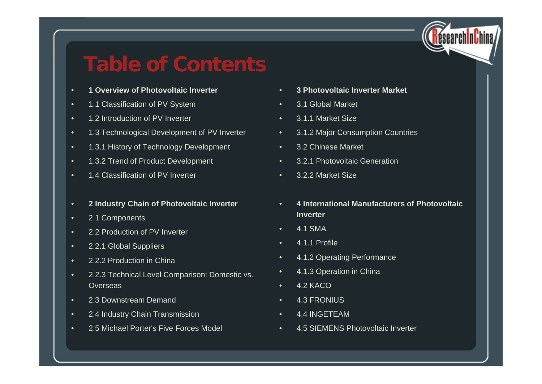

## **Table of Contents**

- •**1 Overview of Photovoltaic Inverter**
- •1 1 Classification of PV System 1.1 • 3 1 Global Market
- •1.2 Introduction of PV Inverter
- •1.3 Technological Development of PV Inverter
- •• 1.3.1 History of Technology Development • 3.2 Chinese Market
- •1.3.2 Trend of Product Development
- •1.4 Classification of PV Inverter
- •**2 Industry Chain of Photovoltaic Inverter**
- •2.1 Components
- •2.2 Production of PV Inverter
- •2.2.1 Global Suppliers
- •2.2.2 Production in China
- • 2.2.3 Technical Level Com parison: Domestic vs. **Overseas**
- •2.3 Downstream Demand
- •2.4 Industry Chain Transmission
- •
- •**3 Photovoltaic Inverter Market**
- 3.1 Global Market
- •3.1.1 Market Size
- •3.1.2 Major Consumption Countries
- 3.2 Chinese Market
- •3.2.1 Photovoltaic Generation
- •3.2.2 Market Size
- • **4 International Manufacturers of Photovoltaic Inverter**
- •4.1 SMA
- •4.1.1 Profile
- •4.1.2 Operating Performance
- •4.1.3 Operation in China
- •4.2 KACO
- •4.3 FRONIUS
- •4.4 INGETEAM
- 2.5 Michael Porter's Five Forces Model 4.5 SIEMENS Photovoltaic Inverter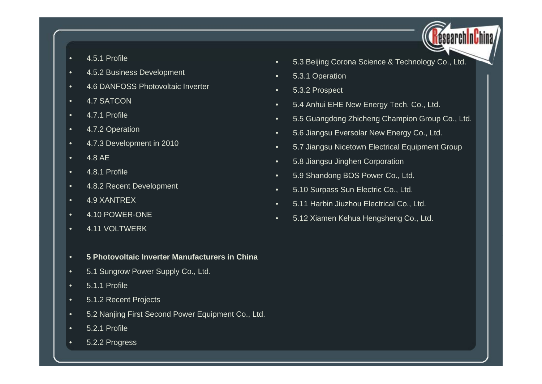- •4.5.1 Profile •
- •4.5.2 Business Development
- •4.6 DANFOSS Photovoltaic Inverter
- •4.7 SATCON
- •4.7.1 Profile
- •4.7.2 Operation
- •4.7.3 Development in 2010
- •4.8 AE
- •4.8.1 Profile
- •4.8.2 Recent Development
- •4.9 XANTREX
- •4.10 POWER-ONE
- •4.11 VOLTWERK
- •**5 Photovoltaic Inverter Manufacturers in China**
- •5.1 Sungrow Power Supply Co., Ltd.
- •5.1.1 Profile
- •5.1.2 Recent Projects
- •5.2 Nanjing First Second Power Equipment Co., Ltd.
- •5.2.1 Profile
- •5.2.2 Progress
- 5.3 Beijing Corona Science & Technology Co., Ltd.
- •5.3.1 Operation
- •5.3.2 Prospect
- •● 5.4 Anhui EHE New Energy Tech. Co., Ltd.
- •5.5 Guangdong Zhicheng Champion Group Co., Ltd.
- •5.6 Jiangsu Eversolar New Energy Co., Ltd.
- •5 7 Jiangsu Nicetown Electrical Equipment Group 5.7
- •5.8 Jiangsu Jinghen Corporation
- •5.9 Shandong BOS Power Co., Ltd.
- •5.10 Surpass Sun Electric Co., Ltd.
- •5.11 Harbin Jiuzhou Electrical Co., Ltd.
- •5.12 Xiamen Kehua Hengsheng Co., Ltd.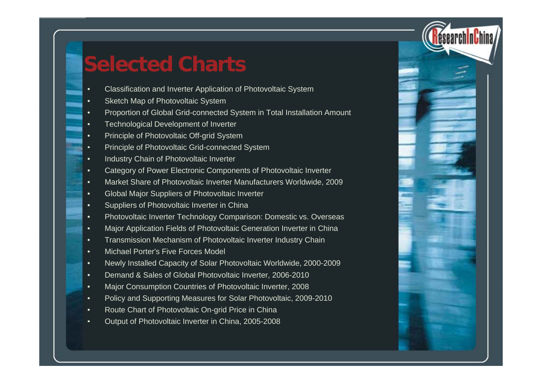### **Selected Charts**

- •Classification and Inverter Application of Photovoltaic System
- •Sketch Map of Photovoltaic System
- •Proportion of Global Grid-connected System in Total Installation Amount
- •Technological Development of Inverter
- •Principle of Photovoltaic Off-grid System
- •Principle of Photovoltaic Grid-connected System
- •Industry Chain of Photovoltaic Inverter
- •Category of Power Electronic Components of Photovoltaic Inverter
- •Market Share of Photovoltaic Inverter Manufacturers Worldwide, 2009
- •• Global Major Suppliers of Photovoltaic Inverter
- •Suppliers of Photovoltaic Inverter in China
- •Photovoltaic Inverter Technology Comparison: Domestic vs. Overseas
- •Major Application Fields of Photovoltaic Generation Inverter in China
- •Transmission Mechanism of Photovoltaic Inverter Industry Chain
- •Michael Porter's Five Forces Model
- •Newly Installed Capacity of Solar Photovoltaic Worldwide, 2000-2009
- •Demand & Sales of Global Photovoltaic Inverter, 2006-2010
- •Major Consumption Countries of Photovoltaic Inverter, 2008
- •Policy and Supporting Measures for Solar Photovoltaic, 2009-2010
- •Route Chart of Photovoltaic On-grid Price in China
- •Output of Photovoltaic Inverter in China, 2005-2008

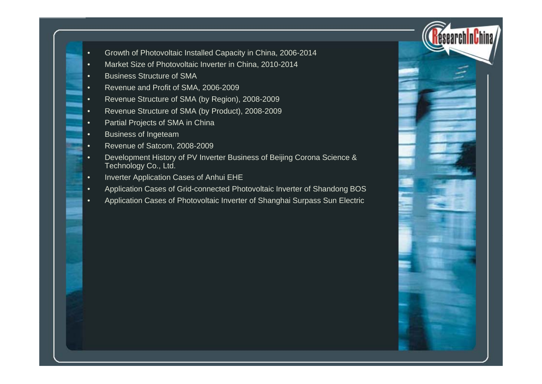- •Growth of Photovoltaic Installed Capacity in China, 2006-2014
- •Market Size of Photovoltaic Inverter in China, 2010-2014
- •Business Structure of SMA
- •Revenue and Profit of SMA, 2006-2009
- •Revenue Structure of SMA (by Region), 2008-2009
- •Revenue Structure of SMA (by Product), 2008-2009
- •Partial Projects of SMA in China
- •Business of Ingeteam
- •Revenue of Satcom, 2008-2009
- • Development History of PV Inverter Business of Beijing Corona Science & Technology Co., Ltd.
- •Inverter Application Cases of Anhui EHE
- •Application Cases of Grid-connected Photovoltaic Inverter of Shandong BOS
- •Application Cases of Photovoltaic Inverter of Shanghai Surpass Sun Electric